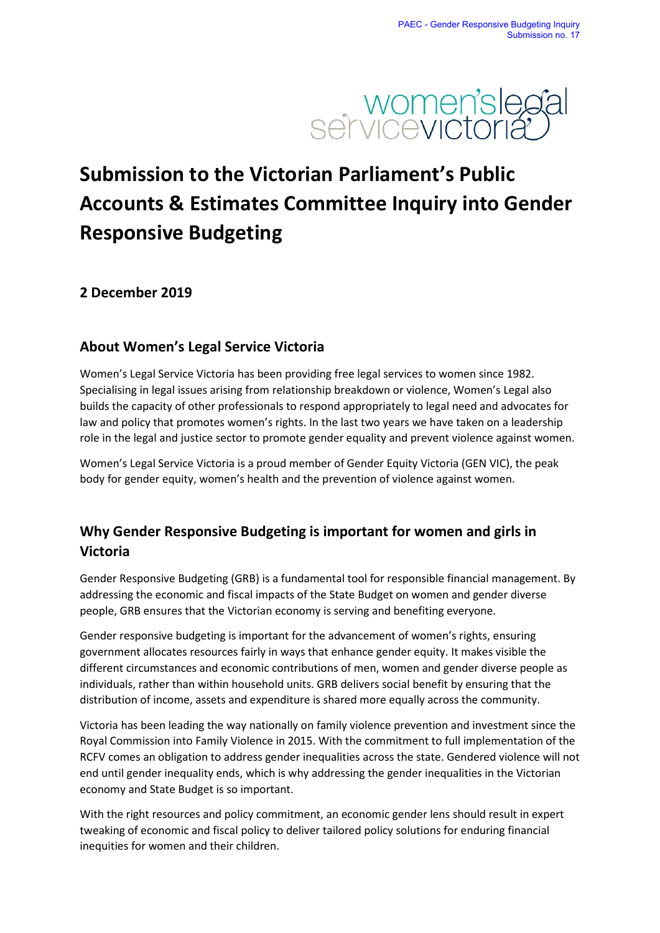

# **Submission to the Victorian Parliament's Public Accounts & Estimates Committee Inquiry into Gender Responsive Budgeting**

### **2 December 2019**

## **About Women's Legal Service Victoria**

Women's Legal Service Victoria has been providing free legal services to women since 1982. Specialising in legal issues arising from relationship breakdown or violence, Women's Legal also builds the capacity of other professionals to respond appropriately to legal need and advocates for law and policy that promotes women's rights. In the last two years we have taken on a leadership role in the legal and justice sector to promote gender equality and prevent violence against women.

Women's Legal Service Victoria is a proud member of Gender Equity Victoria (GEN VIC), the peak body for gender equity, women's health and the prevention of violence against women.

# **Why Gender Responsive Budgeting is important for women and girls in Victoria**

Gender Responsive Budgeting (GRB) is a fundamental tool for responsible financial management. By addressing the economic and fiscal impacts of the State Budget on women and gender diverse people, GRB ensures that the Victorian economy is serving and benefiting everyone.

Gender responsive budgeting is important for the advancement of women's rights, ensuring government allocates resources fairly in ways that enhance gender equity. It makes visible the different circumstances and economic contributions of men, women and gender diverse people as individuals, rather than within household units. GRB delivers social benefit by ensuring that the distribution of income, assets and expenditure is shared more equally across the community.

Victoria has been leading the way nationally on family violence prevention and investment since the Royal Commission into Family Violence in 2015. With the commitment to full implementation of the RCFV comes an obligation to address gender inequalities across the state. Gendered violence will not end until gender inequality ends, which is why addressing the gender inequalities in the Victorian economy and State Budget is so important.

With the right resources and policy commitment, an economic gender lens should result in expert tweaking of economic and fiscal policy to deliver tailored policy solutions for enduring financial inequities for women and their children.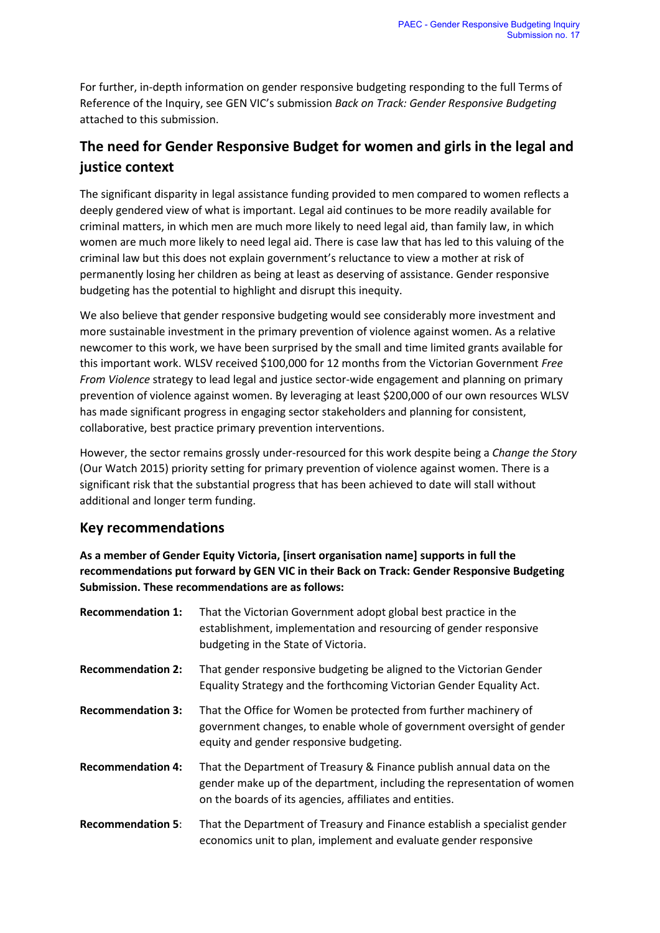For further, in-depth information on gender responsive budgeting responding to the full Terms of Reference of the Inquiry, see GEN VIC's submission *Back on Track: Gender Responsive Budgeting*  attached to this submission.

# **The need for Gender Responsive Budget for women and girls in the legal and justice context**

The significant disparity in legal assistance funding provided to men compared to women reflects a deeply gendered view of what is important. Legal aid continues to be more readily available for criminal matters, in which men are much more likely to need legal aid, than family law, in which women are much more likely to need legal aid. There is case law that has led to this valuing of the criminal law but this does not explain government's reluctance to view a mother at risk of permanently losing her children as being at least as deserving of assistance. Gender responsive budgeting has the potential to highlight and disrupt this inequity.

We also believe that gender responsive budgeting would see considerably more investment and more sustainable investment in the primary prevention of violence against women. As a relative newcomer to this work, we have been surprised by the small and time limited grants available for this important work. WLSV received \$100,000 for 12 months from the Victorian Government *Free From Violence* strategy to lead legal and justice sector-wide engagement and planning on primary prevention of violence against women. By leveraging at least \$200,000 of our own resources WLSV has made significant progress in engaging sector stakeholders and planning for consistent, collaborative, best practice primary prevention interventions.

However, the sector remains grossly under-resourced for this work despite being a *Change the Story* (Our Watch 2015) priority setting for primary prevention of violence against women. There is a significant risk that the substantial progress that has been achieved to date will stall without additional and longer term funding.

#### **Key recommendations**

**As a member of Gender Equity Victoria, [insert organisation name] supports in full the recommendations put forward by GEN VIC in their Back on Track: Gender Responsive Budgeting Submission. These recommendations are as follows:**

| <b>Recommendation 1:</b> | That the Victorian Government adopt global best practice in the<br>establishment, implementation and resourcing of gender responsive<br>budgeting in the State of Victoria.                                |
|--------------------------|------------------------------------------------------------------------------------------------------------------------------------------------------------------------------------------------------------|
| <b>Recommendation 2:</b> | That gender responsive budgeting be aligned to the Victorian Gender<br>Equality Strategy and the forthcoming Victorian Gender Equality Act.                                                                |
| <b>Recommendation 3:</b> | That the Office for Women be protected from further machinery of<br>government changes, to enable whole of government oversight of gender<br>equity and gender responsive budgeting.                       |
| <b>Recommendation 4:</b> | That the Department of Treasury & Finance publish annual data on the<br>gender make up of the department, including the representation of women<br>on the boards of its agencies, affiliates and entities. |
| <b>Recommendation 5:</b> | That the Department of Treasury and Finance establish a specialist gender<br>economics unit to plan, implement and evaluate gender responsive                                                              |